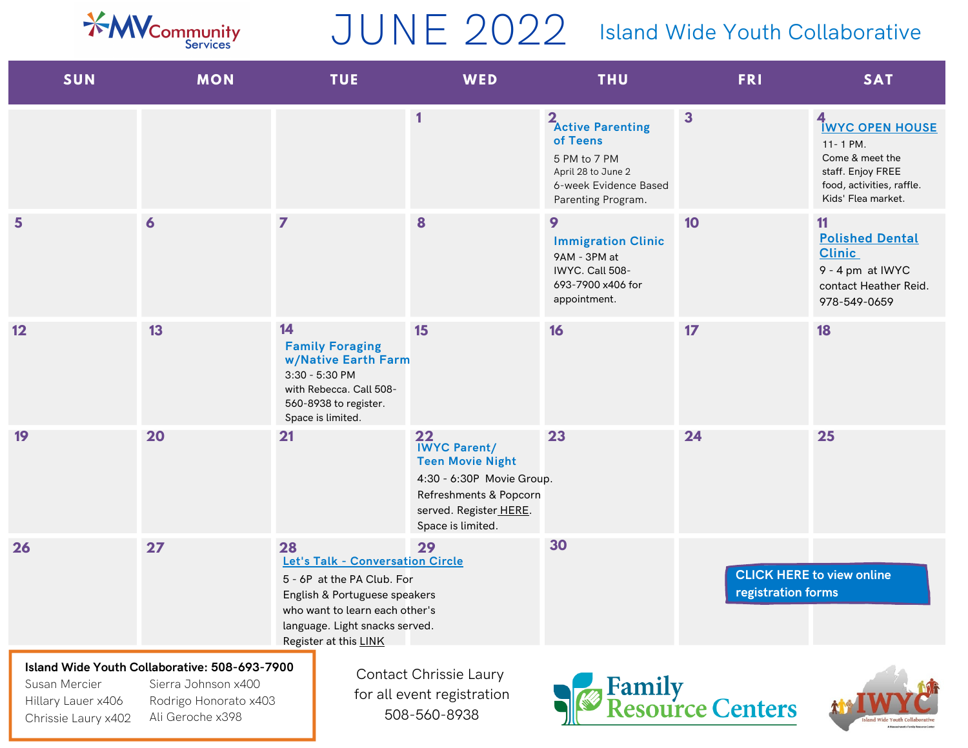

## JUNE 2022

## Island Wide Youth Collaborative

| <b>SUN</b>                                                 | <b>MON</b>                                                                                                        | <b>TUE</b>                                                                                                                                                                                         | WED                                                                                                                                                        | <b>THU</b>                                                                                                                     | <b>FRI</b>                         | <b>SAT</b>                                                                                                                         |
|------------------------------------------------------------|-------------------------------------------------------------------------------------------------------------------|----------------------------------------------------------------------------------------------------------------------------------------------------------------------------------------------------|------------------------------------------------------------------------------------------------------------------------------------------------------------|--------------------------------------------------------------------------------------------------------------------------------|------------------------------------|------------------------------------------------------------------------------------------------------------------------------------|
|                                                            |                                                                                                                   |                                                                                                                                                                                                    | 1                                                                                                                                                          | 2 <sub>Active</sub> Parenting<br>of Teens<br>5 PM to 7 PM<br>April 28 to June 2<br>6-week Evidence Based<br>Parenting Program. | $\overline{\mathbf{3}}$            | 4<br><b>IWYC OPEN HOUSE</b><br>11-1 PM.<br>Come & meet the<br>staff. Enjoy FREE<br>food, activities, raffle.<br>Kids' Flea market. |
| 5                                                          | $\boldsymbol{6}$                                                                                                  | $\overline{z}$                                                                                                                                                                                     | 8                                                                                                                                                          | 9<br><b>Immigration Clinic</b><br>9AM - 3PM at<br>IWYC. Call 508-<br>693-7900 x406 for<br>appointment.                         | 10                                 | 11<br><b>Polished Dental</b><br><b>Clinic</b><br>9 - 4 pm at IWYC<br>contact Heather Reid.<br>978-549-0659                         |
| 12                                                         | 13                                                                                                                | 14<br><b>Family Foraging</b><br>w/Native Earth Farm<br>3:30 - 5:30 PM<br>with Rebecca. Call 508-<br>560-8938 to register.<br>Space is limited.                                                     | 15                                                                                                                                                         | 16                                                                                                                             | 17                                 | 18                                                                                                                                 |
| 19                                                         | 20                                                                                                                | 21                                                                                                                                                                                                 | 22<br><b>IWYC Parent/</b><br><b>Teen Movie Night</b><br>4:30 - 6:30P Movie Group.<br>Refreshments & Popcorn<br>served. Register HERE.<br>Space is limited. | 23                                                                                                                             | 24                                 | 25                                                                                                                                 |
| 26                                                         | 27                                                                                                                | 28<br>Let's Talk - Conversation Circle<br>5 - 6P at the PA Club. For<br>English & Portuguese speakers<br>who want to learn each other's<br>language. Light snacks served.<br>Register at this LINK | 29                                                                                                                                                         | 30                                                                                                                             | registration forms                 | <b>CLICK HERE to view online</b>                                                                                                   |
| Susan Mercier<br>Hillary Lauer x406<br>Chrissie Laury x402 | Island Wide Youth Collaborative: 508-693-7900<br>Sierra Johnson x400<br>Rodrigo Honorato x403<br>Ali Geroche x398 |                                                                                                                                                                                                    | Contact Chrissie Laury<br>for all event registration<br>508-560-8938                                                                                       |                                                                                                                                | <b>Family<br/>Resource Centers</b> |                                                                                                                                    |